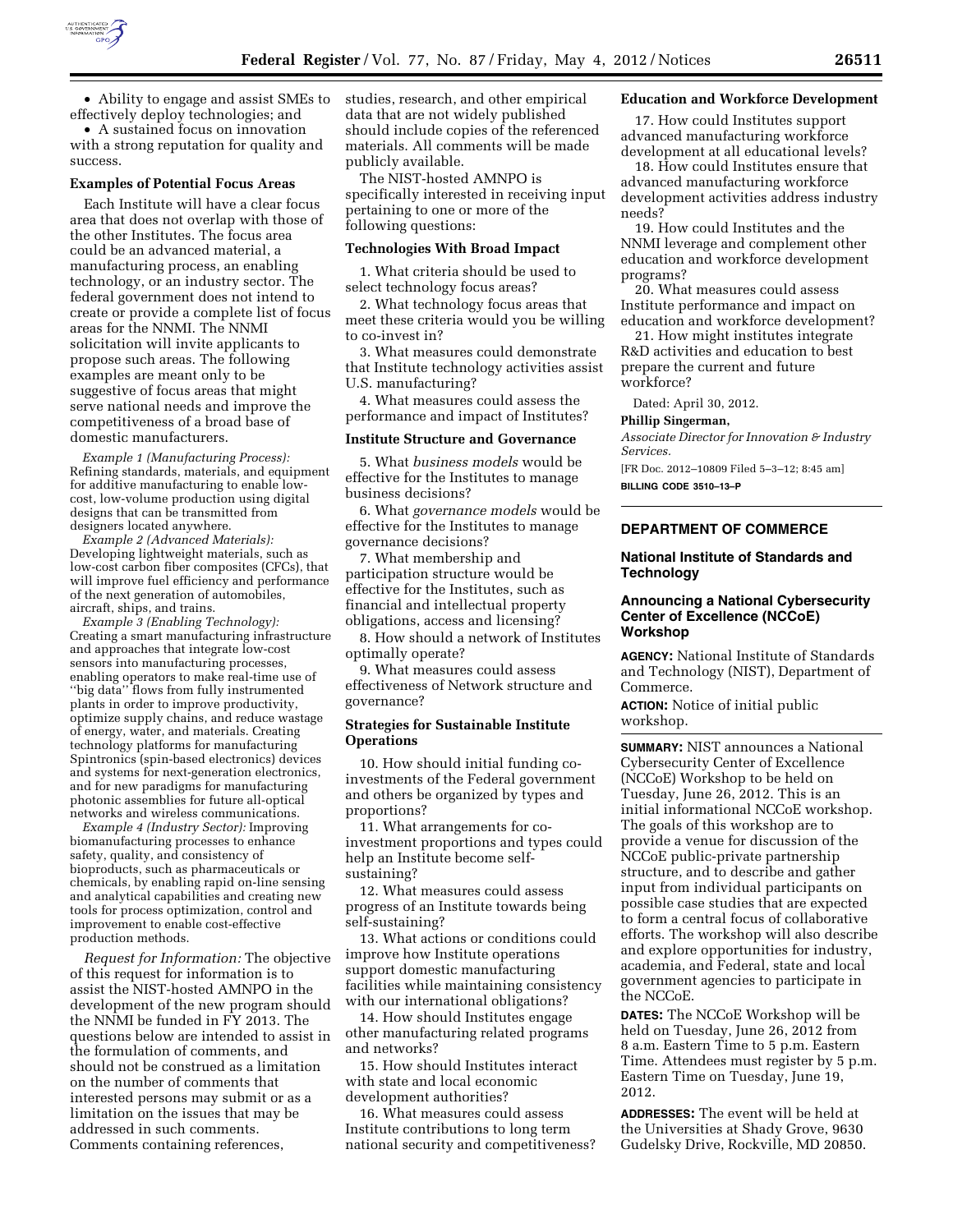

• Ability to engage and assist SMEs to effectively deploy technologies; and

• A sustained focus on innovation with a strong reputation for quality and success.

#### **Examples of Potential Focus Areas**

Each Institute will have a clear focus area that does not overlap with those of the other Institutes. The focus area could be an advanced material, a manufacturing process, an enabling technology, or an industry sector. The federal government does not intend to create or provide a complete list of focus areas for the NNMI. The NNMI solicitation will invite applicants to propose such areas. The following examples are meant only to be suggestive of focus areas that might serve national needs and improve the competitiveness of a broad base of domestic manufacturers.

*Example 1 (Manufacturing Process):*  Refining standards, materials, and equipment for additive manufacturing to enable lowcost, low-volume production using digital designs that can be transmitted from designers located anywhere.

*Example 2 (Advanced Materials):*  Developing lightweight materials, such as low-cost carbon fiber composites (CFCs), that will improve fuel efficiency and performance of the next generation of automobiles, aircraft, ships, and trains.

*Example 3 (Enabling Technology):*  Creating a smart manufacturing infrastructure and approaches that integrate low-cost sensors into manufacturing processes, enabling operators to make real-time use of ''big data'' flows from fully instrumented plants in order to improve productivity, optimize supply chains, and reduce wastage of energy, water, and materials. Creating technology platforms for manufacturing Spintronics (spin-based electronics) devices and systems for next-generation electronics, and for new paradigms for manufacturing photonic assemblies for future all-optical networks and wireless communications.

*Example 4 (Industry Sector):* Improving biomanufacturing processes to enhance safety, quality, and consistency of bioproducts, such as pharmaceuticals or chemicals, by enabling rapid on-line sensing and analytical capabilities and creating new tools for process optimization, control and improvement to enable cost-effective production methods.

*Request for Information:* The objective of this request for information is to assist the NIST-hosted AMNPO in the development of the new program should the NNMI be funded in FY 2013. The questions below are intended to assist in the formulation of comments, and should not be construed as a limitation on the number of comments that interested persons may submit or as a limitation on the issues that may be addressed in such comments. Comments containing references,

studies, research, and other empirical data that are not widely published should include copies of the referenced materials. All comments will be made publicly available.

The NIST-hosted AMNPO is specifically interested in receiving input pertaining to one or more of the following questions:

#### **Technologies With Broad Impact**

1. What criteria should be used to select technology focus areas?

2. What technology focus areas that meet these criteria would you be willing to co-invest in?

3. What measures could demonstrate that Institute technology activities assist U.S. manufacturing?

4. What measures could assess the performance and impact of Institutes?

#### **Institute Structure and Governance**

5. What *business models* would be effective for the Institutes to manage business decisions?

6. What *governance models* would be effective for the Institutes to manage governance decisions?

7. What membership and participation structure would be effective for the Institutes, such as financial and intellectual property obligations, access and licensing?

8. How should a network of Institutes optimally operate?

9. What measures could assess effectiveness of Network structure and governance?

### **Strategies for Sustainable Institute Operations**

10. How should initial funding coinvestments of the Federal government and others be organized by types and proportions?

11. What arrangements for coinvestment proportions and types could help an Institute become selfsustaining?

12. What measures could assess progress of an Institute towards being self-sustaining?

13. What actions or conditions could improve how Institute operations support domestic manufacturing facilities while maintaining consistency with our international obligations?

14. How should Institutes engage other manufacturing related programs and networks?

15. How should Institutes interact with state and local economic development authorities?

16. What measures could assess Institute contributions to long term national security and competitiveness?

### **Education and Workforce Development**

17. How could Institutes support advanced manufacturing workforce development at all educational levels?

18. How could Institutes ensure that advanced manufacturing workforce development activities address industry needs?

19. How could Institutes and the NNMI leverage and complement other education and workforce development programs?

20. What measures could assess Institute performance and impact on education and workforce development?

21. How might institutes integrate R&D activities and education to best prepare the current and future workforce?

Dated: April 30, 2012.

## **Phillip Singerman,**

*Associate Director for Innovation & Industry Services.* 

[FR Doc. 2012–10809 Filed 5–3–12; 8:45 am] **BILLING CODE 3510–13–P** 

**DEPARTMENT OF COMMERCE** 

### **National Institute of Standards and Technology**

# **Announcing a National Cybersecurity Center of Excellence (NCCoE) Workshop**

**AGENCY:** National Institute of Standards and Technology (NIST), Department of Commerce.

**ACTION:** Notice of initial public workshop.

**SUMMARY:** NIST announces a National Cybersecurity Center of Excellence (NCCoE) Workshop to be held on Tuesday, June 26, 2012. This is an initial informational NCCoE workshop. The goals of this workshop are to provide a venue for discussion of the NCCoE public-private partnership structure, and to describe and gather input from individual participants on possible case studies that are expected to form a central focus of collaborative efforts. The workshop will also describe and explore opportunities for industry, academia, and Federal, state and local government agencies to participate in the NCCoE.

**DATES:** The NCCoE Workshop will be held on Tuesday, June 26, 2012 from 8 a.m. Eastern Time to 5 p.m. Eastern Time. Attendees must register by 5 p.m. Eastern Time on Tuesday, June 19, 2012.

**ADDRESSES:** The event will be held at the Universities at Shady Grove, 9630 Gudelsky Drive, Rockville, MD 20850.